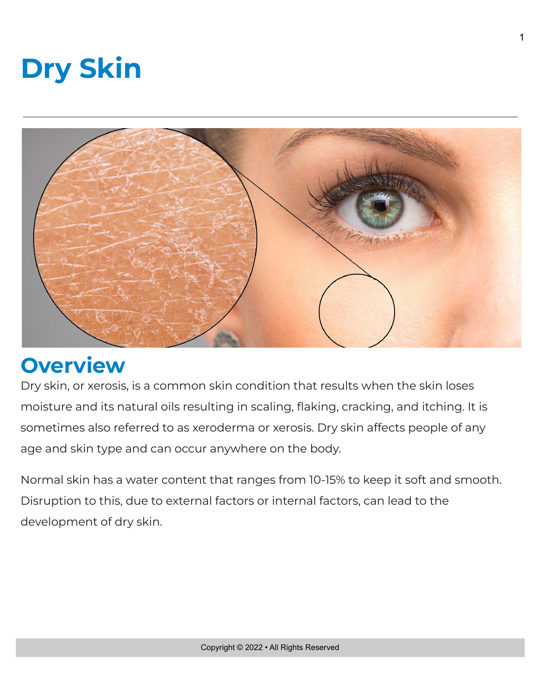



# **Overview**

Dry skin, or xerosis, is a common skin condition that results when the skin loses moisture and its natural oils resulting in scaling, flaking, cracking, and itching. It is sometimes also referred to as xeroderma or xerosis. Dry skin affects people of any age and skin type and can occur anywhere on the body.

Normal skin has a water content that ranges from 10-15% to keep it soft and smooth. Disruption to this, due to external factors or internal factors, can lead to the development of dry skin.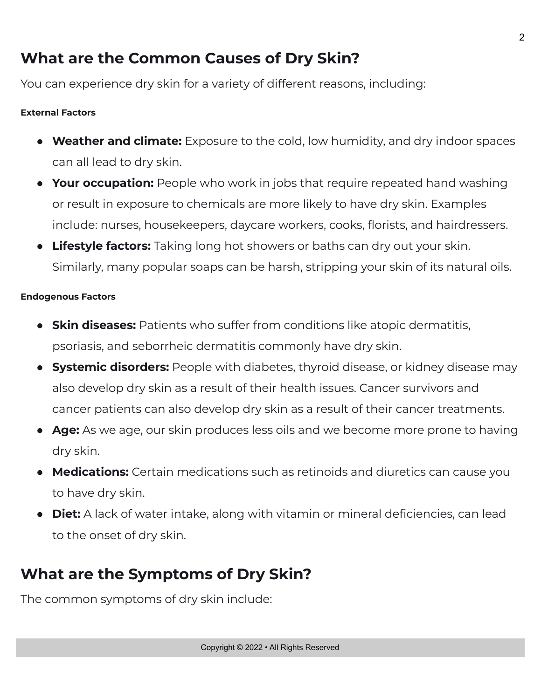## **What are the Common Causes of Dry Skin?**

You can experience dry skin for a variety of different reasons, including:

#### **External Factors**

- **Weather and climate:** Exposure to the cold, low humidity, and dry indoor spaces can all lead to dry skin.
- **Your occupation:** People who work in jobs that require repeated hand washing or result in exposure to chemicals are more likely to have dry skin. Examples include: nurses, housekeepers, daycare workers, cooks, florists, and hairdressers.
- **Lifestyle factors:** Taking long hot showers or baths can dry out your skin. Similarly, many popular soaps can be harsh, stripping your skin of its natural oils.

#### **Endogenous Factors**

- **Skin diseases:** Patients who suffer from conditions like atopic dermatitis, psoriasis, and seborrheic dermatitis commonly have dry skin.
- **Systemic disorders:** People with diabetes, thyroid disease, or kidney disease may also develop dry skin as a result of their health issues. Cancer survivors and cancer patients can also develop dry skin as a result of their cancer treatments.
- **Age:** As we age, our skin produces less oils and we become more prone to having dry skin.
- **Medications:** Certain medications such as retinoids and diuretics can cause you to have dry skin.
- **Diet:** A lack of water intake, along with vitamin or mineral deficiencies, can lead to the onset of dry skin.

### **What are the Symptoms of Dry Skin?**

The common symptoms of dry skin include: